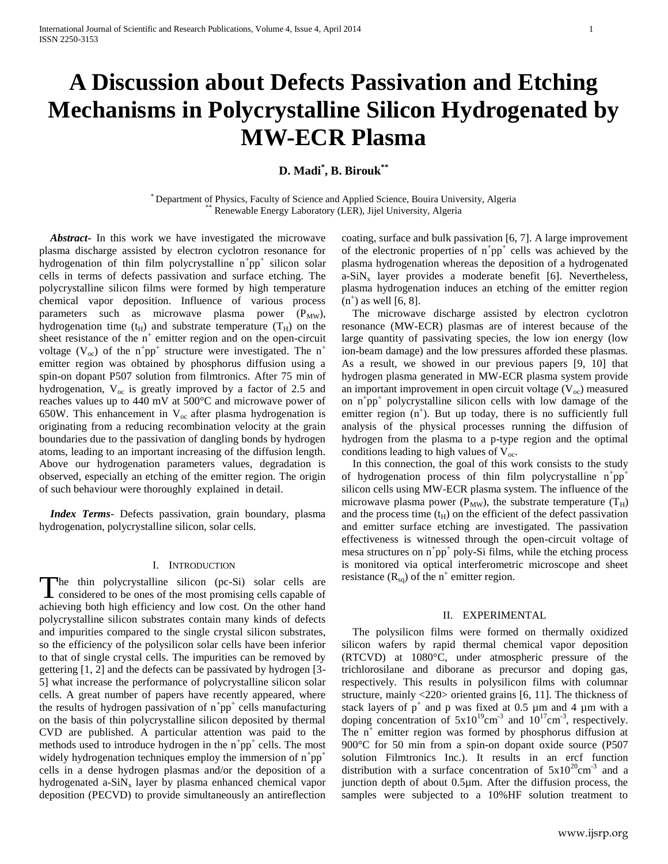# **A Discussion about Defects Passivation and Etching Mechanisms in Polycrystalline Silicon Hydrogenated by MW-ECR Plasma**

## **D. Madi\* , B. Birouk\*\***

\* Department of Physics, Faculty of Science and Applied Science, Bouira University, Algeria Renewable Energy Laboratory (LER), Jijel University, Algeria

 *Abstract***-** In this work we have investigated the microwave plasma discharge assisted by electron cyclotron resonance for hydrogenation of thin film polycrystalline  $n^+pp^+$  silicon solar cells in terms of defects passivation and surface etching. The polycrystalline silicon films were formed by high temperature chemical vapor deposition. Influence of various process parameters such as microwave plasma power  $(P_{MW})$ , hydrogenation time  $(t_H)$  and substrate temperature  $(T_H)$  on the sheet resistance of the  $n^+$  emitter region and on the open-circuit voltage ( $V_{\text{oc}}$ ) of the n<sup>+</sup>pp<sup>+</sup> structure were investigated. The n<sup>+</sup> emitter region was obtained by phosphorus diffusion using a spin-on dopant P507 solution from filmtronics. After 75 min of hydrogenation,  $V_{oc}$  is greatly improved by a factor of 2.5 and reaches values up to 440 mV at 500°C and microwave power of 650W. This enhancement in  $V_{\infty}$  after plasma hydrogenation is originating from a reducing recombination velocity at the grain boundaries due to the passivation of dangling bonds by hydrogen atoms, leading to an important increasing of the diffusion length. Above our hydrogenation parameters values, degradation is observed, especially an etching of the emitter region. The origin of such behaviour were thoroughly explained in detail.

 *Index Terms*- Defects passivation, grain boundary, plasma hydrogenation, polycrystalline silicon, solar cells.

## I. INTRODUCTION

he thin polycrystalline silicon (pc-Si) solar cells are The thin polycrystalline silicon (pc-Si) solar cells are considered to be ones of the most promising cells capable of achieving both high efficiency and low cost. On the other hand polycrystalline silicon substrates contain many kinds of defects and impurities compared to the single crystal silicon substrates, so the efficiency of the polysilicon solar cells have been inferior to that of single crystal cells. The impurities can be removed by gettering [1, 2] and the defects can be passivated by hydrogen [3- 5] what increase the performance of polycrystalline silicon solar cells. A great number of papers have recently appeared, where the results of hydrogen passivation of  $n^+pp^+$  cells manufacturing on the basis of thin polycrystalline silicon deposited by thermal CVD are published. A particular attention was paid to the methods used to introduce hydrogen in the  $n^+pp^+$  cells. The most widely hydrogenation techniques employ the immersion of  $n^+pp^+$ cells in a dense hydrogen plasmas and/or the deposition of a hydrogenated a-SiN<sub>x</sub> layer by plasma enhanced chemical vapor deposition (PECVD) to provide simultaneously an antireflection

coating, surface and bulk passivation [6, 7]. A large improvement of the electronic properties of  $n^+pp^+$  cells was achieved by the plasma hydrogenation whereas the deposition of a hydrogenated a-SiN<sub>x</sub> layer provides a moderate benefit [6]. Nevertheless, plasma hydrogenation induces an etching of the emitter region  $(n^+)$  as well  $[6, 8]$ .

 The microwave discharge assisted by electron cyclotron resonance (MW-ECR) plasmas are of interest because of the large quantity of passivating species, the low ion energy (low ion-beam damage) and the low pressures afforded these plasmas. As a result, we showed in our previous papers [9, 10] that hydrogen plasma generated in MW-ECR plasma system provide an important improvement in open circuit voltage  $(V_{oc})$  measured on  $n^{\dagger}$ pp<sup>+</sup> polycrystalline silicon cells with low damage of the emitter region  $(n^+)$ . But up today, there is no sufficiently full analysis of the physical processes running the diffusion of hydrogen from the plasma to a p-type region and the optimal conditions leading to high values of  $V_{oc}$ .

 In this connection, the goal of this work consists to the study of hydrogenation process of thin film polycrystalline  $n^+pp^+$ silicon cells using MW-ECR plasma system. The influence of the microwave plasma power ( $P_{MW}$ ), the substrate temperature ( $T_H$ ) and the process time  $(t_H)$  on the efficient of the defect passivation and emitter surface etching are investigated. The passivation effectiveness is witnessed through the open-circuit voltage of mesa structures on  $n^+pp^+$  poly-Si films, while the etching process is monitored via optical interferometric microscope and sheet resistance  $(R_{sq})$  of the n<sup>+</sup> emitter region.

#### II. EXPERIMENTAL

 The polysilicon films were formed on thermally oxidized silicon wafers by rapid thermal chemical vapor deposition (RTCVD) at 1080°C, under atmospheric pressure of the trichlorosilane and diborane as precursor and doping gas, respectively. This results in polysilicon films with columnar structure, mainly <220> oriented grains [6, 11]. The thickness of stack layers of  $p^+$  and p was fixed at 0.5 µm and 4 µm with a doping concentration of  $5x10^{19}$ cm<sup>-3</sup> and  $10^{17}$ cm<sup>-3</sup>, respectively. The  $n^+$  emitter region was formed by phosphorus diffusion at 900°C for 50 min from a spin-on dopant oxide source (P507 solution Filmtronics Inc.). It results in an ercf function distribution with a surface concentration of  $5x10^{20}$ cm<sup>-3</sup> and a junction depth of about 0.5µm. After the diffusion process, the samples were subjected to a 10%HF solution treatment to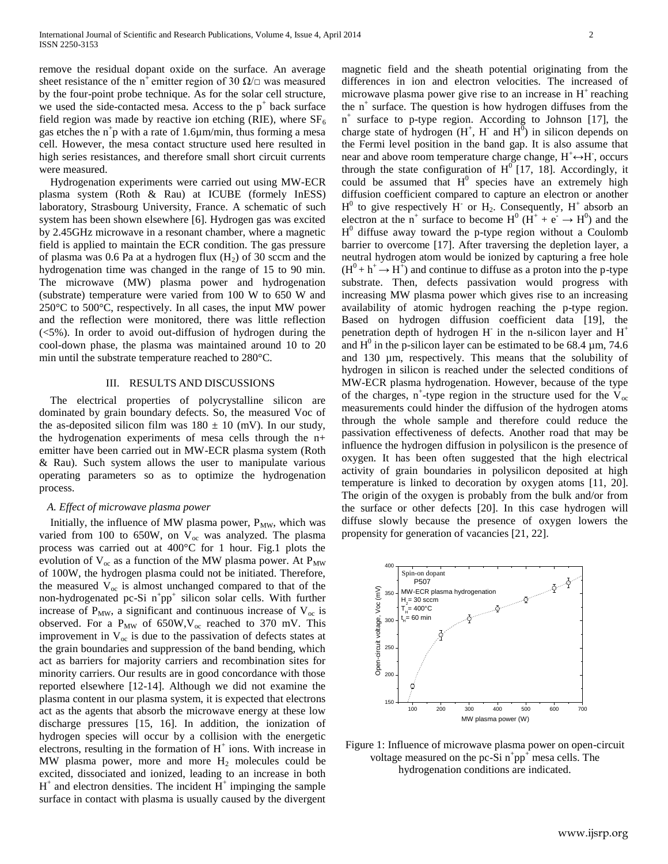remove the residual dopant oxide on the surface. An average sheet resistance of the n<sup>+</sup> emitter region of 30  $\Omega/\square$  was measured by the four-point probe technique. As for the solar cell structure, we used the side-contacted mesa. Access to the  $p^+$  back surface field region was made by reactive ion etching (RIE), where  $SF<sub>6</sub>$ gas etches the  $n^+p$  with a rate of 1.6 $\mu$ m/min, thus forming a mesa cell. However, the mesa contact structure used here resulted in high series resistances, and therefore small short circuit currents were measured.

 Hydrogenation experiments were carried out using MW-ECR plasma system (Roth & Rau) at ICUBE (formely InESS) laboratory, Strasbourg University, France. A schematic of such system has been shown elsewhere [6]. Hydrogen gas was excited by 2.45GHz microwave in a resonant chamber, where a magnetic field is applied to maintain the ECR condition. The gas pressure of plasma was 0.6 Pa at a hydrogen flux  $(H_2)$  of 30 sccm and the hydrogenation time was changed in the range of 15 to 90 min. The microwave (MW) plasma power and hydrogenation (substrate) temperature were varied from 100 W to 650 W and 250°C to 500°C, respectively. In all cases, the input MW power and the reflection were monitored, there was little reflection  $\approx$  100.5%). In order to avoid out-diffusion of hydrogen during the cool-down phase, the plasma was maintained around 10 to 20 min until the substrate temperature reached to 280°C.

## III. RESULTS AND DISCUSSIONS

 The electrical properties of polycrystalline silicon are dominated by grain boundary defects. So, the measured Voc of the as-deposited silicon film was  $180 \pm 10$  (mV). In our study, the hydrogenation experiments of mesa cells through the n+ emitter have been carried out in MW-ECR plasma system (Roth & Rau). Such system allows the user to manipulate various operating parameters so as to optimize the hydrogenation process.

## *A. Effect of microwave plasma power*

Initially, the influence of MW plasma power,  $P_{MW}$ , which was varied from 100 to 650W, on  $V_{oc}$  was analyzed. The plasma process was carried out at 400°C for 1 hour. Fig.1 plots the evolution of  $V_{\text{oc}}$  as a function of the MW plasma power. At  $P_{\text{MW}}$ of 100W, the hydrogen plasma could not be initiated. Therefore, the measured  $V_{\text{oc}}$  is almost unchanged compared to that of the non-hydrogenated pc-Si  $n^+pp^+$  silicon solar cells. With further increase of  $P_{MW}$ , a significant and continuous increase of  $V_{oc}$  is observed. For a  $P_{MW}$  of 650W,  $V_{oc}$  reached to 370 mV. This improvement in  $V_{oc}$  is due to the passivation of defects states at the grain boundaries and suppression of the band bending, which act as barriers for majority carriers and recombination sites for minority carriers. Our results are in good concordance with those reported elsewhere [12-14]. Although we did not examine the plasma content in our plasma system, it is expected that electrons act as the agents that absorb the microwave energy at these low discharge pressures [15, 16]. In addition, the ionization of hydrogen species will occur by a collision with the energetic electrons, resulting in the formation of H<sup>+</sup> ions. With increase in MW plasma power, more and more  $H_2$  molecules could be excited, dissociated and ionized, leading to an increase in both  $H^+$  and electron densities. The incident  $H^+$  impinging the sample surface in contact with plasma is usually caused by the divergent

magnetic field and the sheath potential originating from the differences in ion and electron velocities. The increased of microwave plasma power give rise to an increase in  $H^+$  reaching the  $n^{+}$  surface. The question is how hydrogen diffuses from the n + surface to p-type region. According to Johnson [17], the charge state of hydrogen  $(H^+, H^-)$  and  $H^0$ ) in silicon depends on the Fermi level position in the band gap. It is also assume that near and above room temperature charge change,  $H^+ \leftrightarrow H^-$ , occurs through the state configuration of  $H^0$  [17, 18]. Accordingly, it could be assumed that  $H^0$  species have an extremely high diffusion coefficient compared to capture an electron or another  $H^0$  to give respectively  $\dot{H}$  or  $H_2$ . Consequently,  $H^+$  absorb an electron at the n<sup>+</sup> surface to become  $H^0$  ( $\dot{H}^+$  +  $\dot{e} \rightarrow H^0$ ) and the  $H^0$  diffuse away toward the p-type region without a Coulomb barrier to overcome [17]. After traversing the depletion layer, a neutral hydrogen atom would be ionized by capturing a free hole  $(H^0 + h^+ \rightarrow H^+)$  and continue to diffuse as a proton into the p-type substrate. Then, defects passivation would progress with increasing MW plasma power which gives rise to an increasing availability of atomic hydrogen reaching the p-type region. Based on hydrogen diffusion coefficient data [19], the penetration depth of hydrogen H in the n-silicon layer and  $H^+$ and  $H^0$  in the p-silicon layer can be estimated to be 68.4  $\mu$ m, 74.6 and 130 µm, respectively. This means that the solubility of hydrogen in silicon is reached under the selected conditions of MW-ECR plasma hydrogenation. However, because of the type of the charges, n<sup>+</sup>-type region in the structure used for the  $V_{\text{oc}}$ measurements could hinder the diffusion of the hydrogen atoms through the whole sample and therefore could reduce the passivation effectiveness of defects. Another road that may be influence the hydrogen diffusion in polysilicon is the presence of oxygen. It has been often suggested that the high electrical activity of grain boundaries in polysilicon deposited at high temperature is linked to decoration by oxygen atoms [11, 20]. The origin of the oxygen is probably from the bulk and/or from the surface or other defects [20]. In this case hydrogen will diffuse slowly because the presence of oxygen lowers the



propensity for generation of vacancies [21, 22].

Figure 1: Influence of microwave plasma power on open-circuit voltage measured on the pc-Si  $n^+pp^+$  mesa cells. The hydrogenation conditions are indicated.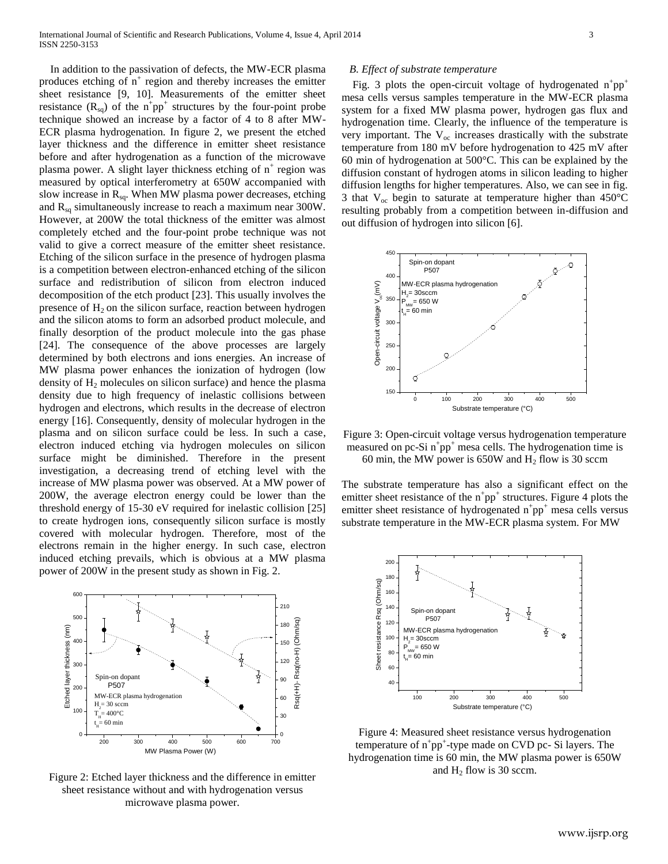In addition to the passivation of defects, the MW-ECR plasma produces etching of  $n^+$  region and thereby increases the emitter sheet resistance [9, 10]. Measurements of the emitter sheet resistance  $(R_{sq})$  of the  $n^+pp^+$  structures by the four-point probe technique showed an increase by a factor of 4 to 8 after MW-ECR plasma hydrogenation. In figure 2, we present the etched layer thickness and the difference in emitter sheet resistance before and after hydrogenation as a function of the microwave plasma power. A slight layer thickness etching of  $n^+$  region was measured by optical interferometry at 650W accompanied with slow increase in  $R_{sq}$ . When MW plasma power decreases, etching and  $R_{sq}$  simultaneously increase to reach a maximum near 300W. However, at 200W the total thickness of the emitter was almost completely etched and the four-point probe technique was not valid to give a correct measure of the emitter sheet resistance. Etching of the silicon surface in the presence of hydrogen plasma is a competition between electron-enhanced etching of the silicon surface and redistribution of silicon from electron induced decomposition of the etch product [23]. This usually involves the presence of  $H_2$  on the silicon surface, reaction between hydrogen and the silicon atoms to form an adsorbed product molecule, and finally desorption of the product molecule into the gas phase [24]. The consequence of the above processes are largely determined by both electrons and ions energies. An increase of MW plasma power enhances the ionization of hydrogen (low density of H<sub>2</sub> molecules on silicon surface) and hence the plasma density due to high frequency of inelastic collisions between hydrogen and electrons, which results in the decrease of electron energy [16]. Consequently, density of molecular hydrogen in the plasma and on silicon surface could be less. In such a case, electron induced etching via hydrogen molecules on silicon surface might be diminished. Therefore in the present investigation, a decreasing trend of etching level with the increase of MW plasma power was observed. At a MW power of 200W, the average electron energy could be lower than the threshold energy of 15-30 eV required for inelastic collision [25] to create hydrogen ions, consequently silicon surface is mostly covered with molecular hydrogen. Therefore, most of the electrons remain in the higher energy. In such case, electron induced etching prevails, which is obvious at a MW plasma power of 200W in the present study as shown in Fig. 2.



Figure 2: Etched layer thickness and the difference in emitter sheet resistance without and with hydrogenation versus microwave plasma power.

#### *B. Effect of substrate temperature*

Fig. 3 plots the open-circuit voltage of hydrogenated  $n^+pp^+$ mesa cells versus samples temperature in the MW-ECR plasma system for a fixed MW plasma power, hydrogen gas flux and hydrogenation time. Clearly, the influence of the temperature is very important. The  $V_{\alpha c}$  increases drastically with the substrate temperature from 180 mV before hydrogenation to 425 mV after 60 min of hydrogenation at 500°C. This can be explained by the diffusion constant of hydrogen atoms in silicon leading to higher diffusion lengths for higher temperatures. Also, we can see in fig. 3 that  $V_{\text{oc}}$  begin to saturate at temperature higher than 450 $^{\circ}$ C resulting probably from a competition between in-diffusion and out diffusion of hydrogen into silicon [6].



Figure 3: Open-circuit voltage versus hydrogenation temperature measured on pc-Si  $n^+pp^+$  mesa cells. The hydrogenation time is 60 min, the MW power is 650W and  $H_2$  flow is 30 sccm

The substrate temperature has also a significant effect on the emitter sheet resistance of the  $n^+pp^+$  structures. Figure 4 plots the emitter sheet resistance of hydrogenated  $n^+pp^+$  mesa cells versus substrate temperature in the MW-ECR plasma system. For MW



Figure 4: Measured sheet resistance versus hydrogenation temperature of  $n^+pp^+$ -type made on CVD pc- Si layers. The hydrogenation time is 60 min, the MW plasma power is 650W and  $H_2$  flow is 30 sccm.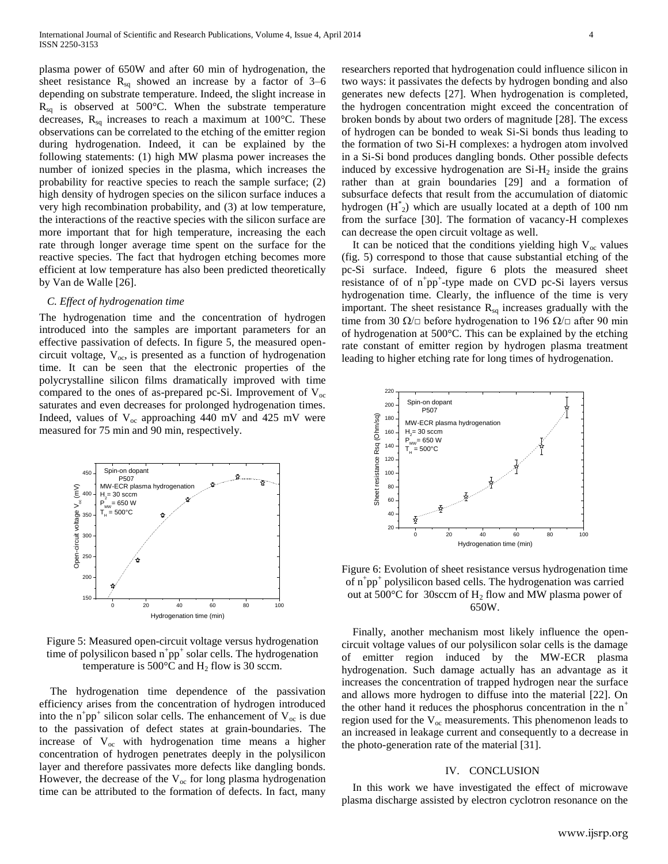plasma power of 650W and after 60 min of hydrogenation, the sheet resistance  $R_{sq}$  showed an increase by a factor of 3–6 depending on substrate temperature. Indeed, the slight increase in  $R_{sq}$  is observed at 500°C. When the substrate temperature decreases,  $R_{sq}$  increases to reach a maximum at 100 $^{\circ}$ C. These observations can be correlated to the etching of the emitter region during hydrogenation. Indeed, it can be explained by the following statements: (1) high MW plasma power increases the number of ionized species in the plasma, which increases the probability for reactive species to reach the sample surface; (2) high density of hydrogen species on the silicon surface induces a very high recombination probability, and (3) at low temperature, the interactions of the reactive species with the silicon surface are more important that for high temperature, increasing the each rate through longer average time spent on the surface for the reactive species. The fact that hydrogen etching becomes more efficient at low temperature has also been predicted theoretically by Van de Walle [26].

#### *C. Effect of hydrogenation time*

The hydrogenation time and the concentration of hydrogen introduced into the samples are important parameters for an effective passivation of defects. In figure 5, the measured opencircuit voltage,  $V_{\text{oc}}$ , is presented as a function of hydrogenation time. It can be seen that the electronic properties of the polycrystalline silicon films dramatically improved with time compared to the ones of as-prepared pc-Si. Improvement of  $V_{\infty}$ saturates and even decreases for prolonged hydrogenation times. Indeed, values of  $V_{oc}$  approaching 440 mV and 425 mV were measured for 75 min and 90 min, respectively.



Figure 5: Measured open-circuit voltage versus hydrogenation time of polysilicon based  $n^+pp^+$  solar cells. The hydrogenation temperature is  $500^{\circ}$ C and H<sub>2</sub> flow is 30 sccm.

 The hydrogenation time dependence of the passivation efficiency arises from the concentration of hydrogen introduced into the  $n^+pp^+$  silicon solar cells. The enhancement of  $V_{\infty}$  is due to the passivation of defect states at grain-boundaries. The increase of  $V_{oc}$  with hydrogenation time means a higher concentration of hydrogen penetrates deeply in the polysilicon layer and therefore passivates more defects like dangling bonds. However, the decrease of the  $V_{\text{oc}}$  for long plasma hydrogenation time can be attributed to the formation of defects. In fact, many

researchers reported that hydrogenation could influence silicon in two ways: it passivates the defects by hydrogen bonding and also generates new defects [27]. When hydrogenation is completed, the hydrogen concentration might exceed the concentration of broken bonds by about two orders of magnitude [28]. The excess of hydrogen can be bonded to weak Si-Si bonds thus leading to the formation of two Si-H complexes: a hydrogen atom involved in a Si-Si bond produces dangling bonds. Other possible defects induced by excessive hydrogenation are  $Si-H<sub>2</sub>$  inside the grains rather than at grain boundaries [29] and a formation of subsurface defects that result from the accumulation of diatomic hydrogen  $(H^*_{2})$  which are usually located at a depth of 100 nm from the surface [30]. The formation of vacancy-H complexes can decrease the open circuit voltage as well.

It can be noticed that the conditions yielding high  $V_{oc}$  values (fig. 5) correspond to those that cause substantial etching of the pc-Si surface. Indeed, figure 6 plots the measured sheet resistance of of  $n^+pp^+$ -type made on CVD pc-Si layers versus hydrogenation time. Clearly, the influence of the time is very important. The sheet resistance  $R_{sq}$  increases gradually with the time from 30  $\Omega/\Box$  before hydrogenation to 196  $\Omega/\Box$  after 90 min of hydrogenation at 500°C. This can be explained by the etching rate constant of emitter region by hydrogen plasma treatment leading to higher etching rate for long times of hydrogenation.



Figure 6: Evolution of sheet resistance versus hydrogenation time of n<sup>+</sup>pp<sup>+</sup> polysilicon based cells. The hydrogenation was carried out at 500 $^{\circ}$ C for 30sccm of H<sub>2</sub> flow and MW plasma power of 650W.

 Finally, another mechanism most likely influence the opencircuit voltage values of our polysilicon solar cells is the damage of emitter region induced by the MW-ECR plasma hydrogenation. Such damage actually has an advantage as it increases the concentration of trapped hydrogen near the surface and allows more hydrogen to diffuse into the material [22]. On the other hand it reduces the phosphorus concentration in the  $n^+$ region used for the  $V_{oc}$  measurements. This phenomenon leads to an increased in leakage current and consequently to a decrease in the photo-generation rate of the material [31].

### IV. CONCLUSION

 In this work we have investigated the effect of microwave plasma discharge assisted by electron cyclotron resonance on the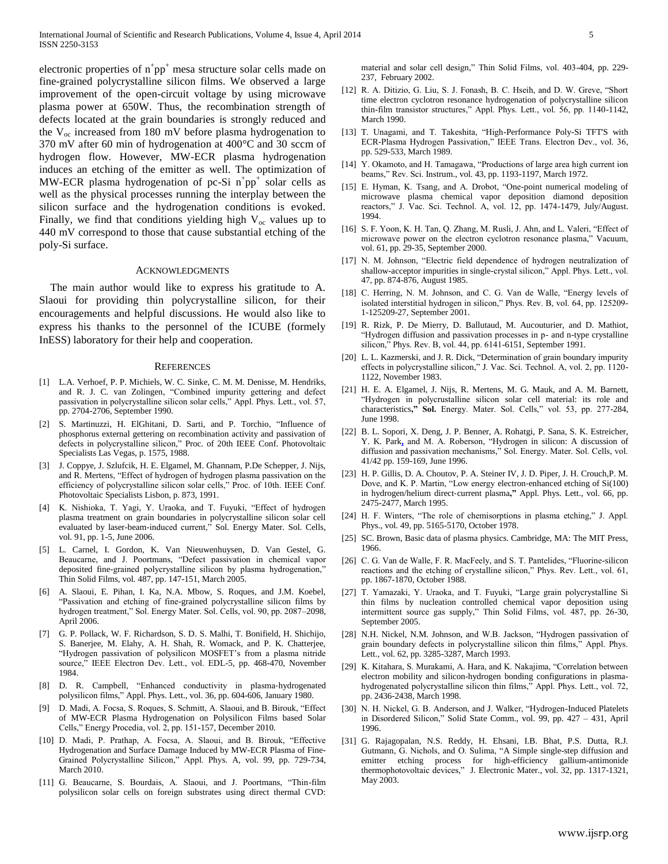electronic properties of  $n^+pp^+$  mesa structure solar cells made on fine-grained polycrystalline silicon films. We observed a large improvement of the open-circuit voltage by using microwave plasma power at 650W. Thus, the recombination strength of defects located at the grain boundaries is strongly reduced and the  $V_{\text{oc}}$  increased from 180 mV before plasma hydrogenation to 370 mV after 60 min of hydrogenation at 400°C and 30 sccm of hydrogen flow. However, MW-ECR plasma hydrogenation induces an etching of the emitter as well. The optimization of MW-ECR plasma hydrogenation of pc-Si  $n^+pp^+$  solar cells as well as the physical processes running the interplay between the silicon surface and the hydrogenation conditions is evoked. Finally, we find that conditions yielding high  $V_{\text{oc}}$  values up to 440 mV correspond to those that cause substantial etching of the poly-Si surface.

#### ACKNOWLEDGMENTS

The main author would like to express his gratitude to A. Slaoui for providing thin polycrystalline silicon, for their encouragements and helpful discussions. He would also like to express his thanks to the personnel of the ICUBE (formely InESS) laboratory for their help and cooperation.

#### **REFERENCES**

- [1] L.A. Verhoef, P. P. Michiels, W. C. Sinke, C. M. M. Denisse, M. Hendriks, and R. J. C. van Zolingen, "Combined impurity gettering and defect passivation in polycrystalline silicon solar cells," Appl. Phys. Lett., vol. 57, pp. 2704-2706, September 1990.
- [2] S. Martinuzzi, H. ElGhitani, D. Sarti, and P. Torchio, "Influence of phosphorus external gettering on recombination activity and passivation of defects in polycrystalline silicon," Proc. of 20th IEEE Conf. Photovoltaic Specialists Las Vegas, p. 1575, 1988.
- [3] J. Coppye, J. Szlufcik, H. E. Elgamel, M. Ghannam, P.De Schepper, J. Nijs, and R. Mertens, "Effect of hydrogen of hydrogen plasma passivation on the efficiency of polycrystalline silicon solar cells," Proc. of 10th. IEEE Conf. Photovoltaic Specialists Lisbon, p. 873, 1991.
- [4] K. Nishioka, T. Yagi, Y. Uraoka, and T. Fuyuki, "Effect of hydrogen plasma treatment on grain boundaries in polycrystalline silicon solar cell evaluated by laser-beam-induced current," Sol. Energy Mater. Sol. Cells, vol. 91, pp. 1-5, June 2006.
- [5] L. Carnel, I. Gordon, K. Van Nieuwenhuysen, D. Van Gestel, G. Beaucarne, and J. Poortmans, "Defect passivation in chemical vapor deposited fine-grained polycrystalline silicon by plasma hydrogenation," Thin Solid Films, vol. 487, pp. 147-151, March 2005.
- [6] A. Slaoui, E. Pihan, I. Ka, N.A. Mbow, S. Roques, and J.M. Koebel, "Passivation and etching of fine-grained polycrystalline silicon films by hydrogen treatment," Sol. Energy Mater. Sol. Cells, vol. 90, pp. 2087–2098, April 2006.
- [7] G. P. Pollack, W. F. Richardson, S. D. S. Malhi, T. Bonifield, H. Shichijo, S. Banerjee, M. Elahy, A. H. Shah, R. Womack, and P. K. Chatterjee, "Hydrogen passivation of polysilicon MOSFET's from a plasma nitride source," IEEE Electron Dev. Lett., vol. EDL-5, pp. 468-470, November 1984.
- [8] D. R. Campbell, "Enhanced conductivity in plasma‐hydrogenated polysilicon films," Appl. Phys. Lett., vol. 36, pp. 604-606, January 1980.
- [9] D. Madi, A. Focsa, S. Roques, S. Schmitt, A. Slaoui, and B. Birouk, "Effect of MW-ECR Plasma Hydrogenation on Polysilicon Films based Solar Cells," Energy Procedia, vol. 2, pp. 151-157, December 2010.
- [10] D. Madi, P. Prathap, A. Focsa, A. Slaoui, and B. Birouk, "Effective Hydrogenation and Surface Damage Induced by MW-ECR Plasma of Fine-Grained Polycrystalline Silicon," Appl. Phys. A, vol. 99, pp. 729-734, March 2010.
- [11] G. Beaucarne, S. Bourdais, A. Slaoui, and J. Poortmans, "Thin-film polysilicon solar cells on foreign substrates using direct thermal CVD:

material and solar cell design," Thin Solid Films, vol. 403-404, pp. 229- 237, February 2002.

- [12] R. A. Ditizio, G. Liu, S. J. Fonash, B. C. Hseih, and D. W. Greve, "Short time electron cyclotron resonance hydrogenation of polycrystalline silicon thin-film transistor structures," Appl. Phys. Lett., vol. 56, pp. 1140-1142, March 1990.
- [13] T. Unagami, and T. Takeshita, "High-Performance Poly-Si TFT'S with ECR-Plasma Hydrogen Passivation," IEEE Trans. Electron Dev., vol. 36, pp. 529-533, March 1989.
- [14] Y. Okamoto, and H. Tamagawa, "Productions of large area high current ion beams," Rev. Sci. Instrum., vol. 43, pp. 1193-1197, March 1972.
- [15] E. Hyman, K. Tsang, and A. Drobot, "One-point numerical modeling of microwave plasma chemical vapor deposition diamond deposition reactors," J. Vac. Sci. Technol. A, vol. 12, pp. 1474-1479, July/August. 1994.
- [16] S. F. Yoon, K. H. Tan, Q. Zhang, M. Rusli, J. Ahn, and L. Valeri, "Effect of microwave power on the electron cyclotron resonance plasma," Vacuum, vol. 61, pp. 29-35, September 2000.
- [17] N. M. Johnson, "Electric field dependence of hydrogen neutralization of shallow-acceptor impurities in single-crystal silicon," Appl. Phys. Lett., vol. 47, pp. 874-876, August 1985.
- [18] C. Herring, N. M. Johnson, and C. G. Van de Walle, "Energy levels of isolated interstitial hydrogen in silicon," Phys. Rev. B, vol. 64, pp. 125209- 1-125209-27, September 2001.
- [19] R. Rizk, P. De Mierry, D. Ballutaud, M. Aucouturier, and D. Mathiot, "Hydrogen diffusion and passivation processes in p- and n-type crystalline silicon," Phys. Rev. B, vol. 44, pp. 6141-6151, September 1991.
- [20] L. L. Kazmerski, and J. R. Dick, "Determination of grain boundary impurity effects in polycrystalline silicon," J. Vac. Sci. Technol. A, vol. 2, pp. 1120- 1122, November 1983.
- [21] H. E. A. Elgamel, J. Nijs, R. Mertens, M. G. Mauk, and A. M. Barnett, "Hydrogen in polycrustalline silicon solar cell material: its role and characteristics**," Sol.** Energy. Mater. Sol. Cells," vol. 53, pp. 277-284, June 1998.
- [22] B. L. Sopori, X. Deng, J. P. Benner, A. Rohatgi, P. Sana, S. K. Estreicher, Y. K. Park**,** and M. A. Roberson, "Hydrogen in silicon: A discussion of diffusion and passivation mechanisms," Sol. Energy. Mater. Sol. Cells, vol. 41/42 pp. 159-169, June 1996.
- [23] H. P. Gillis, D. A. Choutov, P. A. Steiner IV, J. D. Piper, J. H. Crouch,P. M. Dove, and K. P. Martin, "Low energy electron-enhanced etching of Si(100) in hydrogen/helium direct‐current plasma**,"** Appl. Phys. Lett., vol. 66, pp. 2475-2477, March 1995.
- [24] H. F. Winters, "The role of chemisorptions in plasma etching," J. Appl. Phys., vol. 49, pp. 5165-5170, October 1978.
- [25] SC. Brown, Basic data of plasma physics. Cambridge, MA: The MIT Press, 1966.
- [26] C. G. Van de Walle, F. R. MacFeely, and S. T. Pantelides, "Fluorine-silicon reactions and the etching of crystalline silicon," Phys. Rev. Lett., vol. 61, pp. 1867-1870, October 1988.
- [27] T. Yamazaki, Y. Uraoka, and T. Fuyuki, "Large grain polycrystalline Si thin films by nucleation controlled chemical vapor deposition using intermittent source gas supply," Thin Solid Films, vol. 487, pp. 26-30, September 2005.
- [28] N.H. Nickel, N.M. Johnson, and W.B. Jackson, "Hydrogen passivation of grain boundary defects in polycrystalline silicon thin films," Appl. Phys. Lett., vol. 62, pp. 3285-3287, March 1993.
- [29] K. Kitahara, S. Murakami, A. Hara, and K. Nakajima, "Correlation between electron mobility and silicon-hydrogen bonding configurations in plasmahydrogenated polycrystalline silicon thin films," Appl. Phys. Lett., vol. 72, pp. 2436-2438, March 1998.
- [30] N. H. Nickel, G. B. Anderson, and J. Walker, "Hydrogen-Induced Platelets in Disordered Silicon," Solid State Comm., vol. 99, pp. 427 – 431, April 1996.
- [31] G. Rajagopalan, N.S. Reddy, H. Ehsani, I.B. Bhat, P.S. Dutta, R.J. Gutmann, G. Nichols, and O. Sulima, "A Simple single-step diffusion and emitter etching process for high-efficiency gallium-antimonide thermophotovoltaic devices," J. Electronic Mater., vol. 32, pp. 1317-1321, May 2003.